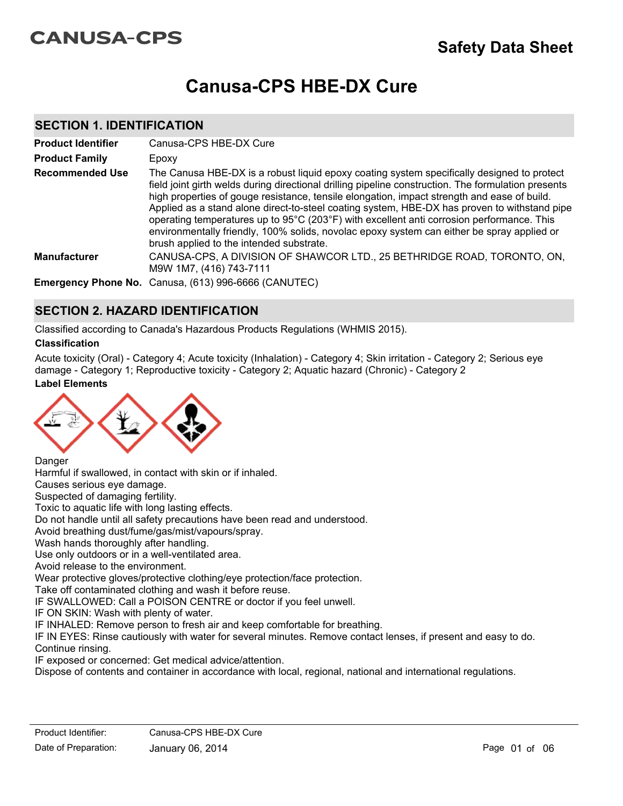# **CANUSA-CPS**

# **Canusa-CPS HBE-DX Cure**

### **SECTION 1. IDENTIFICATION**

| <b>Product Identifier</b> | Canusa-CPS HBE-DX Cure                                                                                                                                                                                                                                                                                                                                                                                                                                                                                                                                                                                                                  |
|---------------------------|-----------------------------------------------------------------------------------------------------------------------------------------------------------------------------------------------------------------------------------------------------------------------------------------------------------------------------------------------------------------------------------------------------------------------------------------------------------------------------------------------------------------------------------------------------------------------------------------------------------------------------------------|
| <b>Product Family</b>     | Epoxy                                                                                                                                                                                                                                                                                                                                                                                                                                                                                                                                                                                                                                   |
| <b>Recommended Use</b>    | The Canusa HBE-DX is a robust liquid epoxy coating system specifically designed to protect<br>field joint girth welds during directional drilling pipeline construction. The formulation presents<br>high properties of gouge resistance, tensile elongation, impact strength and ease of build.<br>Applied as a stand alone direct-to-steel coating system, HBE-DX has proven to withstand pipe<br>operating temperatures up to 95°C (203°F) with excellent anti corrosion performance. This<br>environmentally friendly, 100% solids, novolac epoxy system can either be spray applied or<br>brush applied to the intended substrate. |
| <b>Manufacturer</b>       | CANUSA-CPS, A DIVISION OF SHAWCOR LTD., 25 BETHRIDGE ROAD, TORONTO, ON,<br>M9W 1M7, (416) 743-7111                                                                                                                                                                                                                                                                                                                                                                                                                                                                                                                                      |
|                           | Emergency Phone No. Canusa, (613) 996-6666 (CANUTEC)                                                                                                                                                                                                                                                                                                                                                                                                                                                                                                                                                                                    |

### **SECTION 2. HAZARD IDENTIFICATION**

Classified according to Canada's Hazardous Products Regulations (WHMIS 2015).

### **Classification**

**Label Elements** Acute toxicity (Oral) - Category 4; Acute toxicity (Inhalation) - Category 4; Skin irritation - Category 2; Serious eye damage - Category 1; Reproductive toxicity - Category 2; Aquatic hazard (Chronic) - Category 2



**Danger** 

Harmful if swallowed, in contact with skin or if inhaled.

Causes serious eye damage.

Suspected of damaging fertility.

Toxic to aquatic life with long lasting effects.

Do not handle until all safety precautions have been read and understood.

Avoid breathing dust/fume/gas/mist/vapours/spray.

Wash hands thoroughly after handling.

Use only outdoors or in a well-ventilated area.

Avoid release to the environment.

Wear protective gloves/protective clothing/eye protection/face protection.

Take off contaminated clothing and wash it before reuse.

IF SWALLOWED: Call a POISON CENTRE or doctor if you feel unwell.

IF ON SKIN: Wash with plenty of water.

IF INHALED: Remove person to fresh air and keep comfortable for breathing.

IF IN EYES: Rinse cautiously with water for several minutes. Remove contact lenses, if present and easy to do. Continue rinsing.

IF exposed or concerned: Get medical advice/attention.

Dispose of contents and container in accordance with local, regional, national and international regulations.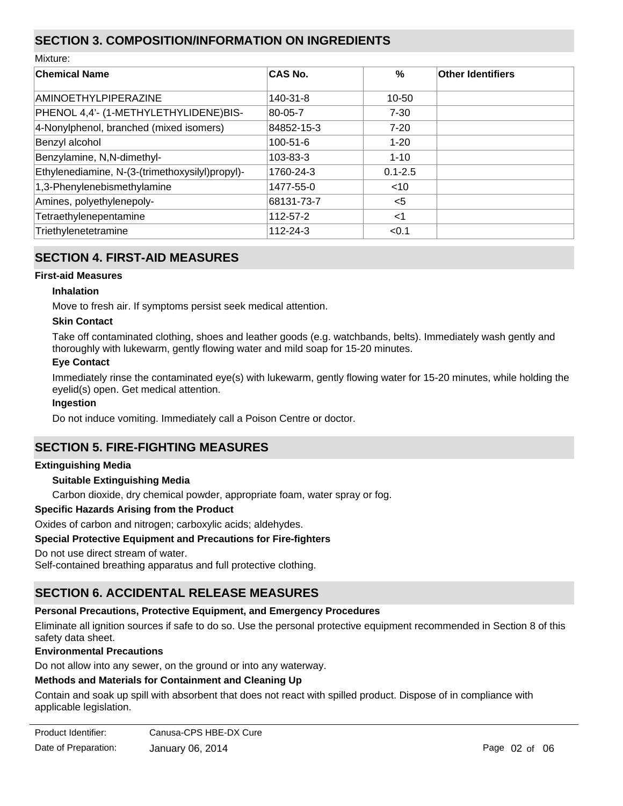# **SECTION 3. COMPOSITION/INFORMATION ON INGREDIENTS**

| Mixture:                                        |                |             |                          |
|-------------------------------------------------|----------------|-------------|--------------------------|
| <b>Chemical Name</b>                            | <b>CAS No.</b> | $\%$        | <b>Other Identifiers</b> |
| <b>AMINOETHYLPIPERAZINE</b>                     | 140-31-8       | $10 - 50$   |                          |
| PHENOL 4,4'- (1-METHYLETHYLIDENE)BIS-           | 80-05-7        | $7 - 30$    |                          |
| 4-Nonylphenol, branched (mixed isomers)         | 84852-15-3     | $7 - 20$    |                          |
| Benzyl alcohol                                  | $100 - 51 - 6$ | $1 - 20$    |                          |
| Benzylamine, N, N-dimethyl-                     | $103 - 83 - 3$ | $1 - 10$    |                          |
| Ethylenediamine, N-(3-(trimethoxysilyl)propyl)- | 1760-24-3      | $0.1 - 2.5$ |                          |
| 1,3-Phenylenebismethylamine                     | 1477-55-0      | ~10         |                          |
| Amines, polyethylenepoly-                       | 68131-73-7     | $5$         |                          |
| Tetraethylenepentamine                          | 112-57-2       | $<$ 1       |                          |
| Triethylenetetramine                            | 112-24-3       | < 0.1       |                          |

# **SECTION 4. FIRST-AID MEASURES**

### **First-aid Measures**

### **Inhalation**

Move to fresh air. If symptoms persist seek medical attention.

### **Skin Contact**

Take off contaminated clothing, shoes and leather goods (e.g. watchbands, belts). Immediately wash gently and thoroughly with lukewarm, gently flowing water and mild soap for 15-20 minutes.

### **Eye Contact**

Immediately rinse the contaminated eye(s) with lukewarm, gently flowing water for 15-20 minutes, while holding the eyelid(s) open. Get medical attention.

#### **Ingestion**

Do not induce vomiting. Immediately call a Poison Centre or doctor.

# **SECTION 5. FIRE-FIGHTING MEASURES**

#### **Extinguishing Media**

#### **Suitable Extinguishing Media**

Carbon dioxide, dry chemical powder, appropriate foam, water spray or fog.

#### **Specific Hazards Arising from the Product**

Oxides of carbon and nitrogen; carboxylic acids; aldehydes.

#### **Special Protective Equipment and Precautions for Fire-fighters**

Do not use direct stream of water.

Self-contained breathing apparatus and full protective clothing.

# **SECTION 6. ACCIDENTAL RELEASE MEASURES**

#### **Personal Precautions, Protective Equipment, and Emergency Procedures**

Eliminate all ignition sources if safe to do so. Use the personal protective equipment recommended in Section 8 of this safety data sheet.

#### **Environmental Precautions**

Do not allow into any sewer, on the ground or into any waterway.

### **Methods and Materials for Containment and Cleaning Up**

Contain and soak up spill with absorbent that does not react with spilled product. Dispose of in compliance with applicable legislation.

| Product Identifier:  | Canusa-CPS HBE-DX Cure |
|----------------------|------------------------|
| Date of Preparation: | January 06, 2014       |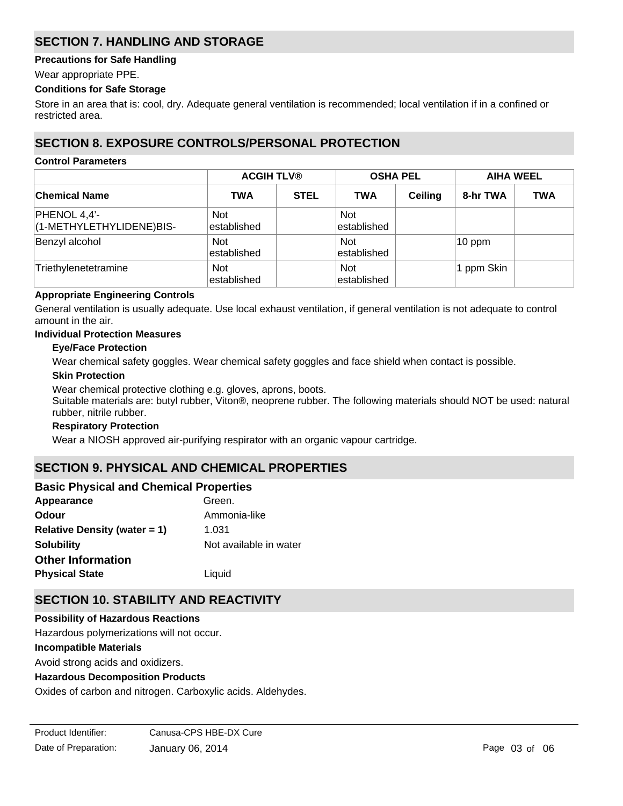# **SECTION 7. HANDLING AND STORAGE**

### **Precautions for Safe Handling**

Wear appropriate PPE.

### **Conditions for Safe Storage**

Store in an area that is: cool, dry. Adequate general ventilation is recommended; local ventilation if in a confined or restricted area.

### **SECTION 8. EXPOSURE CONTROLS/PERSONAL PROTECTION**

#### **Control Parameters**

|                                          |                            | <b>ACGIH TLV®</b> |                            | <b>OSHA PEL</b> |            | <b>AIHA WEEL</b> |  |
|------------------------------------------|----------------------------|-------------------|----------------------------|-----------------|------------|------------------|--|
| <b>Chemical Name</b>                     | <b>TWA</b>                 | <b>STEL</b>       | <b>TWA</b>                 | <b>Ceiling</b>  | 8-hr TWA   | <b>TWA</b>       |  |
| PHENOL 4,4'-<br>(1-METHYLETHYLIDENE)BIS- | <b>Not</b><br>lestablished |                   | <b>Not</b><br>lestablished |                 |            |                  |  |
| Benzyl alcohol                           | <b>Not</b><br>lestablished |                   | <b>Not</b><br>established  |                 | $10$ ppm   |                  |  |
| Triethylenetetramine                     | <b>Not</b><br>established  |                   | <b>Not</b><br>established  |                 | 1 ppm Skin |                  |  |

### **Appropriate Engineering Controls**

General ventilation is usually adequate. Use local exhaust ventilation, if general ventilation is not adequate to control amount in the air.

### **Individual Protection Measures**

### **Eye/Face Protection**

Wear chemical safety goggles. Wear chemical safety goggles and face shield when contact is possible.

#### **Skin Protection**

Wear chemical protective clothing e.g. gloves, aprons, boots. Suitable materials are: butyl rubber, Viton®, neoprene rubber. The following materials should NOT be used: natural rubber, nitrile rubber.

#### **Respiratory Protection**

Wear a NIOSH approved air-purifying respirator with an organic vapour cartridge.

# **SECTION 9. PHYSICAL AND CHEMICAL PROPERTIES**

### **Basic Physical and Chemical Properties**

| Green.                 |
|------------------------|
| Ammonia-like           |
| 1.031                  |
| Not available in water |
|                        |
| Liquid                 |
|                        |

# **SECTION 10. STABILITY AND REACTIVITY**

#### **Possibility of Hazardous Reactions**

Hazardous polymerizations will not occur.

#### **Incompatible Materials**

Avoid strong acids and oxidizers.

#### **Hazardous Decomposition Products**

Oxides of carbon and nitrogen. Carboxylic acids. Aldehydes.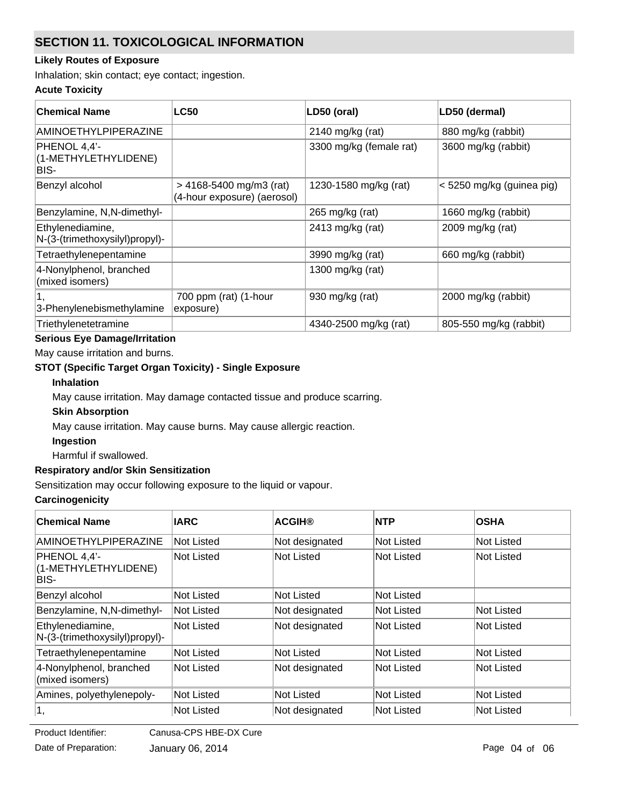# **SECTION 11. TOXICOLOGICAL INFORMATION**

### **Likely Routes of Exposure**

Inhalation; skin contact; eye contact; ingestion.

### **Acute Toxicity**

| <b>Chemical Name</b>                               | <b>LC50</b>                                                | LD50 (oral)             | LD50 (dermal)             |
|----------------------------------------------------|------------------------------------------------------------|-------------------------|---------------------------|
| <b>AMINOETHYLPIPERAZINE</b>                        |                                                            | 2140 mg/kg (rat)        | 880 mg/kg (rabbit)        |
| PHENOL 4,4'-<br>(1-METHYLETHYLIDENE)<br>BIS-       |                                                            | 3300 mg/kg (female rat) | 3600 mg/kg (rabbit)       |
| Benzyl alcohol                                     | $> 4168 - 5400$ mg/m3 (rat)<br>(4-hour exposure) (aerosol) | 1230-1580 mg/kg (rat)   | < 5250 mg/kg (guinea pig) |
| Benzylamine, N,N-dimethyl-                         |                                                            | 265 mg/kg (rat)         | 1660 mg/kg (rabbit)       |
| Ethylenediamine,<br>N-(3-(trimethoxysilyl)propyl)- |                                                            | 2413 mg/kg (rat)        | 2009 mg/kg (rat)          |
| Tetraethylenepentamine                             |                                                            | 3990 mg/kg (rat)        | 660 mg/kg (rabbit)        |
| 4-Nonylphenol, branched<br>(mixed isomers)         |                                                            | 1300 mg/kg (rat)        |                           |
| 3-Phenylenebismethylamine                          | 700 ppm (rat) (1-hour<br>exposure)                         | 930 mg/kg (rat)         | 2000 mg/kg (rabbit)       |
| Triethylenetetramine                               |                                                            | 4340-2500 mg/kg (rat)   | 805-550 mg/kg (rabbit)    |

# **Serious Eye Damage/Irritation**

May cause irritation and burns.

# **STOT (Specific Target Organ Toxicity) - Single Exposure**

### **Inhalation**

May cause irritation. May damage contacted tissue and produce scarring.

### **Skin Absorption**

May cause irritation. May cause burns. May cause allergic reaction.

#### **Ingestion**

Harmful if swallowed.

### **Respiratory and/or Skin Sensitization**

Sensitization may occur following exposure to the liquid or vapour.

### **Carcinogenicity**

| <b>Chemical Name</b>                               | <b>IARC</b>       | <b>ACGIH®</b>  | NTP        | <b>OSHA</b> |
|----------------------------------------------------|-------------------|----------------|------------|-------------|
| AMINOETHYLPIPERAZINE                               | Not Listed        | Not designated | Not Listed | Not Listed  |
| PHENOL 4,4'-<br>(1-METHYLETHYLIDENE)<br>BIS-       | <b>Not Listed</b> | Not Listed     | Not Listed | Not Listed  |
| Benzyl alcohol                                     | Not Listed        | Not Listed     | Not Listed |             |
| Benzylamine, N,N-dimethyl-                         | Not Listed        | Not designated | Not Listed | Not Listed  |
| Ethylenediamine,<br>N-(3-(trimethoxysilyl)propyl)- | <b>Not Listed</b> | Not designated | Not Listed | Not Listed  |
| Tetraethylenepentamine                             | Not Listed        | Not Listed     | Not Listed | Not Listed  |
| 4-Nonylphenol, branched<br>(mixed isomers)         | Not Listed        | Not designated | Not Listed | Not Listed  |
| Amines, polyethylenepoly-                          | Not Listed        | Not Listed     | Not Listed | Not Listed  |
| 1,                                                 | Not Listed        | Not designated | Not Listed | Not Listed  |

**Product Identifier:** 

Canusa-CPS HBE-DX Cure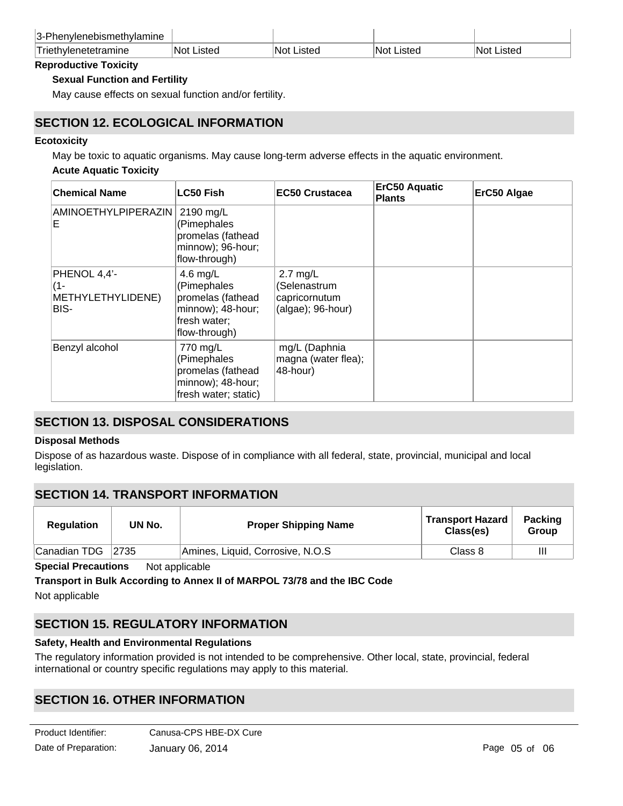| 3-Phenylenebismethylamine |             |             |             |             |
|---------------------------|-------------|-------------|-------------|-------------|
| Triethylenetetramine      | ∣Not Listed | INot Listed | 'Not Listeo | ∣Not Listed |

### **Reproductive Toxicity**

### **Sexual Function and Fertility**

May cause effects on sexual function and/or fertility.

### **SECTION 12. ECOLOGICAL INFORMATION**

### **Ecotoxicity**

May be toxic to aquatic organisms. May cause long-term adverse effects in the aquatic environment.

### **Acute Aquatic Toxicity**

| <b>Chemical Name</b>                                | <b>LC50 Fish</b>                                                                                   | <b>EC50 Crustacea</b>                                              | <b>ErC50 Aquatic</b><br><b>Plants</b> | ErC50 Algae |
|-----------------------------------------------------|----------------------------------------------------------------------------------------------------|--------------------------------------------------------------------|---------------------------------------|-------------|
| AMINOETHYLPIPERAZIN<br>Е                            | 2190 mg/L<br>(Pimephales<br>promelas (fathead<br>minnow); 96-hour;<br>flow-through)                |                                                                    |                                       |             |
| PHENOL 4,4'-<br>$(1 -$<br>METHYLETHYLIDENE)<br>BIS- | 4.6 mg/L<br>(Pimephales<br>promelas (fathead<br>minnow); 48-hour;<br>fresh water;<br>flow-through) | $2.7$ mg/L<br>(Selenastrum<br>capricornutum<br>$(algae); 96-hour)$ |                                       |             |
| Benzyl alcohol                                      | 770 mg/L<br>(Pimephales<br>promelas (fathead<br>minnow); 48-hour;<br>fresh water; static)          | mg/L (Daphnia<br>magna (water flea);<br>48-hour)                   |                                       |             |

# **SECTION 13. DISPOSAL CONSIDERATIONS**

#### **Disposal Methods**

Dispose of as hazardous waste. Dispose of in compliance with all federal, state, provincial, municipal and local legislation.

### **SECTION 14. TRANSPORT INFORMATION**

| <b>Regulation</b> | UN No. | <b>Proper Shipping Name</b>      | <b>Transport Hazard</b><br>Class(es) | <b>Packing</b><br>Group |
|-------------------|--------|----------------------------------|--------------------------------------|-------------------------|
| Canadian TDG      | 2735   | Amines, Liquid, Corrosive, N.O.S | Class 8                              | $\mathbf{II}$           |

**Special Precautions** Not applicable

**Transport in Bulk According to Annex II of MARPOL 73/78 and the IBC Code** Not applicable

# **SECTION 15. REGULATORY INFORMATION**

### **Safety, Health and Environmental Regulations**

The regulatory information provided is not intended to be comprehensive. Other local, state, provincial, federal international or country specific regulations may apply to this material.

# **SECTION 16. OTHER INFORMATION**